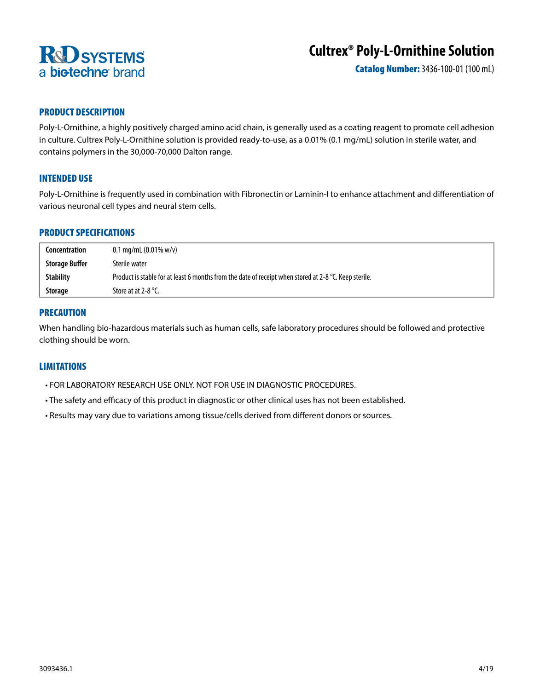

# **Cultrex® Poly-L-Ornithine Solution**

Catalog Number: 3436-100-01 (100 mL)

# PRODUCT DESCRIPTION

Poly-L-Ornithine, a highly positively charged amino acid chain, is generally used as a coating reagent to promote cell adhesion in culture. Cultrex Poly-L-Ornithine solution is provided ready-to-use, as a 0.01% (0.1 mg/mL) solution in sterile water, and contains polymers in the 30,000-70,000 Dalton range.

# INTENDED USE

Poly-L-Ornithine is frequently used in combination with Fibronectin or Laminin-I to enhance attachment and differentiation of various neuronal cell types and neural stem cells.

## PRODUCT SPECIFICATIONS

| Concentration         | $0.1 \,\mathrm{mg/mL}$ (0.01% w/v)                                                                    |  |
|-----------------------|-------------------------------------------------------------------------------------------------------|--|
| <b>Storage Buffer</b> | Sterile water                                                                                         |  |
| <b>Stability</b>      | Product is stable for at least 6 months from the date of receipt when stored at 2-8 °C. Keep sterile. |  |
| <b>Storage</b>        | Store at at 2-8 $^{\circ}$ C.                                                                         |  |

## PRECAUTION

When handling bio-hazardous materials such as human cells, safe laboratory procedures should be followed and protective clothing should be worn.

## LIMITATIONS

- FOR LABORATORY RESEARCH USE ONLY. NOT FOR USE IN DIAGNOSTIC PROCEDURES.
- The safety and efficacy of this product in diagnostic or other clinical uses has not been established.
- Results may vary due to variations among tissue/cells derived from different donors or sources.